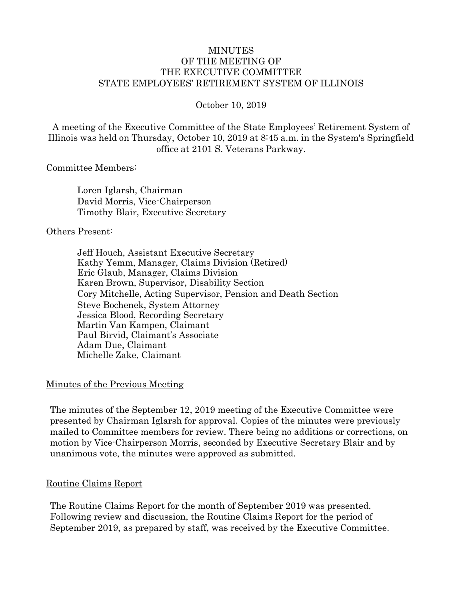#### MINUTES OF THE MEETING OF THE EXECUTIVE COMMITTEE STATE EMPLOYEES' RETIREMENT SYSTEM OF ILLINOIS

October 10, 2019

A meeting of the Executive Committee of the State Employees' Retirement System of Illinois was held on Thursday, October 10, 2019 at 8:45 a.m. in the System's Springfield office at 2101 S. Veterans Parkway.

#### Committee Members:

Loren Iglarsh, Chairman David Morris, Vice-Chairperson Timothy Blair, Executive Secretary

#### Others Present:

Jeff Houch, Assistant Executive Secretary Kathy Yemm, Manager, Claims Division (Retired) Eric Glaub, Manager, Claims Division Karen Brown, Supervisor, Disability Section Cory Mitchelle, Acting Supervisor, Pension and Death Section Steve Bochenek, System Attorney Jessica Blood, Recording Secretary Martin Van Kampen, Claimant Paul Birvid, Claimant's Associate Adam Due, Claimant Michelle Zake, Claimant

#### Minutes of the Previous Meeting

The minutes of the September 12, 2019 meeting of the Executive Committee were presented by Chairman Iglarsh for approval. Copies of the minutes were previously mailed to Committee members for review. There being no additions or corrections, on motion by Vice-Chairperson Morris, seconded by Executive Secretary Blair and by unanimous vote, the minutes were approved as submitted.

#### Routine Claims Report

The Routine Claims Report for the month of September 2019 was presented. Following review and discussion, the Routine Claims Report for the period of September 2019, as prepared by staff, was received by the Executive Committee.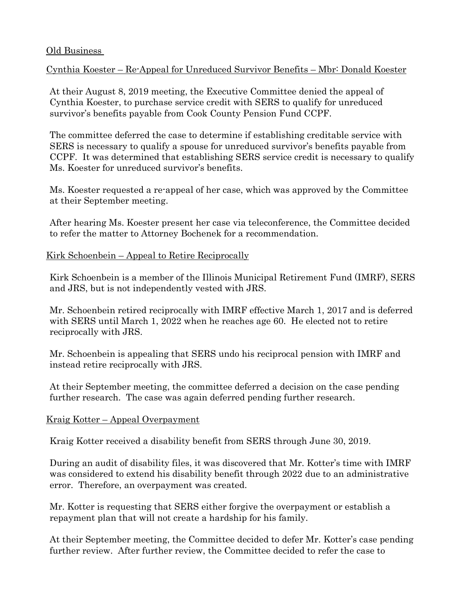### Old Business

# Cynthia Koester – Re-Appeal for Unreduced Survivor Benefits – Mbr: Donald Koester

At their August 8, 2019 meeting, the Executive Committee denied the appeal of Cynthia Koester, to purchase service credit with SERS to qualify for unreduced survivor's benefits payable from Cook County Pension Fund CCPF.

The committee deferred the case to determine if establishing creditable service with SERS is necessary to qualify a spouse for unreduced survivor's benefits payable from CCPF. It was determined that establishing SERS service credit is necessary to qualify Ms. Koester for unreduced survivor's benefits.

Ms. Koester requested a re-appeal of her case, which was approved by the Committee at their September meeting.

After hearing Ms. Koester present her case via teleconference, the Committee decided to refer the matter to Attorney Bochenek for a recommendation.

## Kirk Schoenbein – Appeal to Retire Reciprocally

Kirk Schoenbein is a member of the Illinois Municipal Retirement Fund (IMRF), SERS and JRS, but is not independently vested with JRS.

Mr. Schoenbein retired reciprocally with IMRF effective March 1, 2017 and is deferred with SERS until March 1, 2022 when he reaches age 60. He elected not to retire reciprocally with JRS.

Mr. Schoenbein is appealing that SERS undo his reciprocal pension with IMRF and instead retire reciprocally with JRS.

At their September meeting, the committee deferred a decision on the case pending further research. The case was again deferred pending further research.

### Kraig Kotter – Appeal Overpayment

Kraig Kotter received a disability benefit from SERS through June 30, 2019.

During an audit of disability files, it was discovered that Mr. Kotter's time with IMRF was considered to extend his disability benefit through 2022 due to an administrative error. Therefore, an overpayment was created.

Mr. Kotter is requesting that SERS either forgive the overpayment or establish a repayment plan that will not create a hardship for his family.

At their September meeting, the Committee decided to defer Mr. Kotter's case pending further review. After further review, the Committee decided to refer the case to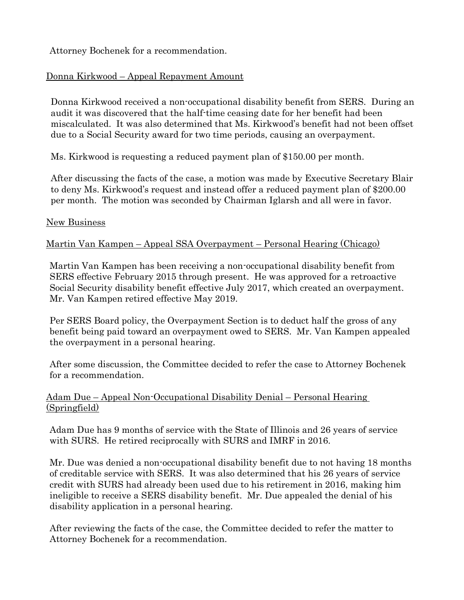Attorney Bochenek for a recommendation.

# Donna Kirkwood – Appeal Repayment Amount

Donna Kirkwood received a non-occupational disability benefit from SERS. During an audit it was discovered that the half-time ceasing date for her benefit had been miscalculated. It was also determined that Ms. Kirkwood's benefit had not been offset due to a Social Security award for two time periods, causing an overpayment.

Ms. Kirkwood is requesting a reduced payment plan of \$150.00 per month.

After discussing the facts of the case, a motion was made by Executive Secretary Blair to deny Ms. Kirkwood's request and instead offer a reduced payment plan of \$200.00 per month. The motion was seconded by Chairman Iglarsh and all were in favor.

### New Business

## Martin Van Kampen – Appeal SSA Overpayment – Personal Hearing (Chicago)

Martin Van Kampen has been receiving a non-occupational disability benefit from SERS effective February 2015 through present. He was approved for a retroactive Social Security disability benefit effective July 2017, which created an overpayment. Mr. Van Kampen retired effective May 2019.

Per SERS Board policy, the Overpayment Section is to deduct half the gross of any benefit being paid toward an overpayment owed to SERS. Mr. Van Kampen appealed the overpayment in a personal hearing.

After some discussion, the Committee decided to refer the case to Attorney Bochenek for a recommendation.

# Adam Due – Appeal Non-Occupational Disability Denial – Personal Hearing (Springfield)

Adam Due has 9 months of service with the State of Illinois and 26 years of service with SURS. He retired reciprocally with SURS and IMRF in 2016.

Mr. Due was denied a non-occupational disability benefit due to not having 18 months of creditable service with SERS. It was also determined that his 26 years of service credit with SURS had already been used due to his retirement in 2016, making him ineligible to receive a SERS disability benefit. Mr. Due appealed the denial of his disability application in a personal hearing.

After reviewing the facts of the case, the Committee decided to refer the matter to Attorney Bochenek for a recommendation.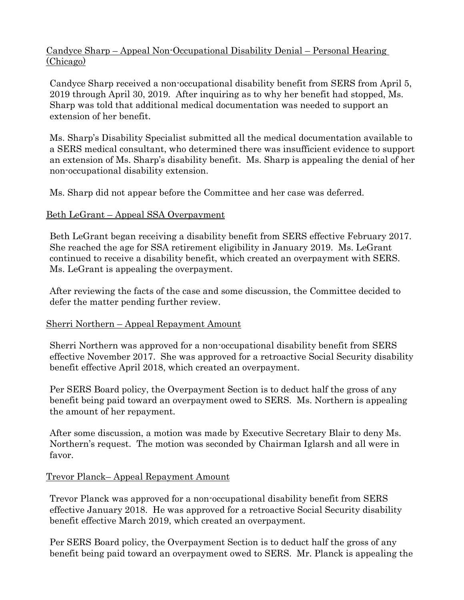# Candyce Sharp – Appeal Non-Occupational Disability Denial – Personal Hearing (Chicago)

Candyce Sharp received a non-occupational disability benefit from SERS from April 5, 2019 through April 30, 2019. After inquiring as to why her benefit had stopped, Ms. Sharp was told that additional medical documentation was needed to support an extension of her benefit.

Ms. Sharp's Disability Specialist submitted all the medical documentation available to a SERS medical consultant, who determined there was insufficient evidence to support an extension of Ms. Sharp's disability benefit. Ms. Sharp is appealing the denial of her non-occupational disability extension.

Ms. Sharp did not appear before the Committee and her case was deferred.

# Beth LeGrant – Appeal SSA Overpayment

Beth LeGrant began receiving a disability benefit from SERS effective February 2017. She reached the age for SSA retirement eligibility in January 2019. Ms. LeGrant continued to receive a disability benefit, which created an overpayment with SERS. Ms. LeGrant is appealing the overpayment.

After reviewing the facts of the case and some discussion, the Committee decided to defer the matter pending further review.

# Sherri Northern – Appeal Repayment Amount

Sherri Northern was approved for a non-occupational disability benefit from SERS effective November 2017. She was approved for a retroactive Social Security disability benefit effective April 2018, which created an overpayment.

Per SERS Board policy, the Overpayment Section is to deduct half the gross of any benefit being paid toward an overpayment owed to SERS. Ms. Northern is appealing the amount of her repayment.

After some discussion, a motion was made by Executive Secretary Blair to deny Ms. Northern's request. The motion was seconded by Chairman Iglarsh and all were in favor.

# Trevor Planck– Appeal Repayment Amount

Trevor Planck was approved for a non-occupational disability benefit from SERS effective January 2018. He was approved for a retroactive Social Security disability benefit effective March 2019, which created an overpayment.

Per SERS Board policy, the Overpayment Section is to deduct half the gross of any benefit being paid toward an overpayment owed to SERS. Mr. Planck is appealing the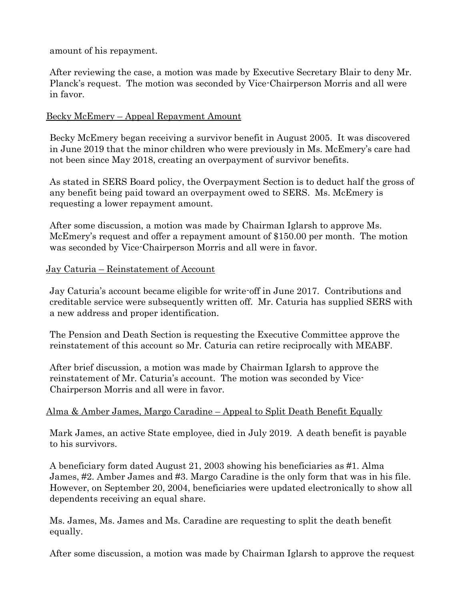amount of his repayment.

After reviewing the case, a motion was made by Executive Secretary Blair to deny Mr. Planck's request. The motion was seconded by Vice-Chairperson Morris and all were in favor.

# Becky McEmery – Appeal Repayment Amount

Becky McEmery began receiving a survivor benefit in August 2005. It was discovered in June 2019 that the minor children who were previously in Ms. McEmery's care had not been since May 2018, creating an overpayment of survivor benefits.

As stated in SERS Board policy, the Overpayment Section is to deduct half the gross of any benefit being paid toward an overpayment owed to SERS. Ms. McEmery is requesting a lower repayment amount.

After some discussion, a motion was made by Chairman Iglarsh to approve Ms. McEmery's request and offer a repayment amount of \$150.00 per month. The motion was seconded by Vice-Chairperson Morris and all were in favor.

# Jay Caturia – Reinstatement of Account

Jay Caturia's account became eligible for write-off in June 2017. Contributions and creditable service were subsequently written off. Mr. Caturia has supplied SERS with a new address and proper identification.

The Pension and Death Section is requesting the Executive Committee approve the reinstatement of this account so Mr. Caturia can retire reciprocally with MEABF.

After brief discussion, a motion was made by Chairman Iglarsh to approve the reinstatement of Mr. Caturia's account. The motion was seconded by Vice-Chairperson Morris and all were in favor.

# Alma & Amber James, Margo Caradine – Appeal to Split Death Benefit Equally

Mark James, an active State employee, died in July 2019. A death benefit is payable to his survivors.

A beneficiary form dated August 21, 2003 showing his beneficiaries as #1. Alma James, #2. Amber James and #3. Margo Caradine is the only form that was in his file. However, on September 20, 2004, beneficiaries were updated electronically to show all dependents receiving an equal share.

Ms. James, Ms. James and Ms. Caradine are requesting to split the death benefit equally.

After some discussion, a motion was made by Chairman Iglarsh to approve the request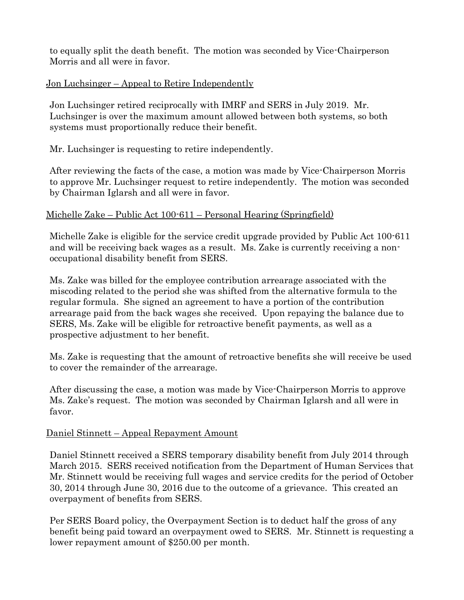to equally split the death benefit. The motion was seconded by Vice-Chairperson Morris and all were in favor.

### Jon Luchsinger – Appeal to Retire Independently

Jon Luchsinger retired reciprocally with IMRF and SERS in July 2019. Mr. Luchsinger is over the maximum amount allowed between both systems, so both systems must proportionally reduce their benefit.

## Mr. Luchsinger is requesting to retire independently.

After reviewing the facts of the case, a motion was made by Vice-Chairperson Morris to approve Mr. Luchsinger request to retire independently. The motion was seconded by Chairman Iglarsh and all were in favor.

## Michelle Zake – Public Act 100-611 – Personal Hearing (Springfield)

Michelle Zake is eligible for the service credit upgrade provided by Public Act 100-611 and will be receiving back wages as a result. Ms. Zake is currently receiving a nonoccupational disability benefit from SERS.

Ms. Zake was billed for the employee contribution arrearage associated with the miscoding related to the period she was shifted from the alternative formula to the regular formula. She signed an agreement to have a portion of the contribution arrearage paid from the back wages she received. Upon repaying the balance due to SERS, Ms. Zake will be eligible for retroactive benefit payments, as well as a prospective adjustment to her benefit.

Ms. Zake is requesting that the amount of retroactive benefits she will receive be used to cover the remainder of the arrearage.

After discussing the case, a motion was made by Vice-Chairperson Morris to approve Ms. Zake's request. The motion was seconded by Chairman Iglarsh and all were in favor.

### Daniel Stinnett – Appeal Repayment Amount

Daniel Stinnett received a SERS temporary disability benefit from July 2014 through March 2015. SERS received notification from the Department of Human Services that Mr. Stinnett would be receiving full wages and service credits for the period of October 30, 2014 through June 30, 2016 due to the outcome of a grievance. This created an overpayment of benefits from SERS.

Per SERS Board policy, the Overpayment Section is to deduct half the gross of any benefit being paid toward an overpayment owed to SERS. Mr. Stinnett is requesting a lower repayment amount of \$250.00 per month.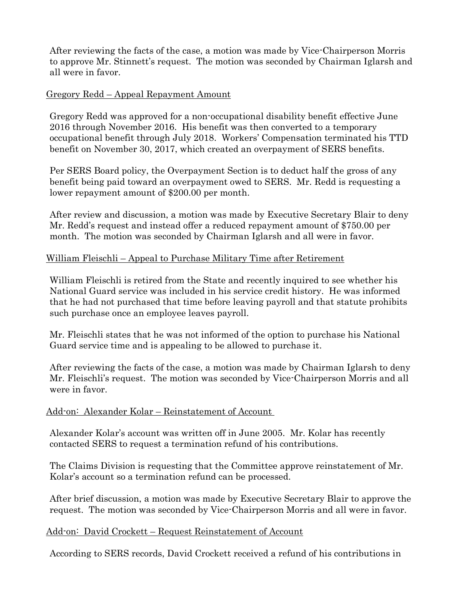After reviewing the facts of the case, a motion was made by Vice-Chairperson Morris to approve Mr. Stinnett's request. The motion was seconded by Chairman Iglarsh and all were in favor.

### Gregory Redd – Appeal Repayment Amount

Gregory Redd was approved for a non-occupational disability benefit effective June 2016 through November 2016. His benefit was then converted to a temporary occupational benefit through July 2018. Workers' Compensation terminated his TTD benefit on November 30, 2017, which created an overpayment of SERS benefits.

Per SERS Board policy, the Overpayment Section is to deduct half the gross of any benefit being paid toward an overpayment owed to SERS. Mr. Redd is requesting a lower repayment amount of \$200.00 per month.

After review and discussion, a motion was made by Executive Secretary Blair to deny Mr. Redd's request and instead offer a reduced repayment amount of \$750.00 per month. The motion was seconded by Chairman Iglarsh and all were in favor.

## William Fleischli – Appeal to Purchase Military Time after Retirement

William Fleischli is retired from the State and recently inquired to see whether his National Guard service was included in his service credit history. He was informed that he had not purchased that time before leaving payroll and that statute prohibits such purchase once an employee leaves payroll.

Mr. Fleischli states that he was not informed of the option to purchase his National Guard service time and is appealing to be allowed to purchase it.

After reviewing the facts of the case, a motion was made by Chairman Iglarsh to deny Mr. Fleischli's request. The motion was seconded by Vice-Chairperson Morris and all were in favor.

### Add-on: Alexander Kolar – Reinstatement of Account

Alexander Kolar's account was written off in June 2005. Mr. Kolar has recently contacted SERS to request a termination refund of his contributions.

The Claims Division is requesting that the Committee approve reinstatement of Mr. Kolar's account so a termination refund can be processed.

After brief discussion, a motion was made by Executive Secretary Blair to approve the request. The motion was seconded by Vice-Chairperson Morris and all were in favor.

### Add-on: David Crockett – Request Reinstatement of Account

According to SERS records, David Crockett received a refund of his contributions in